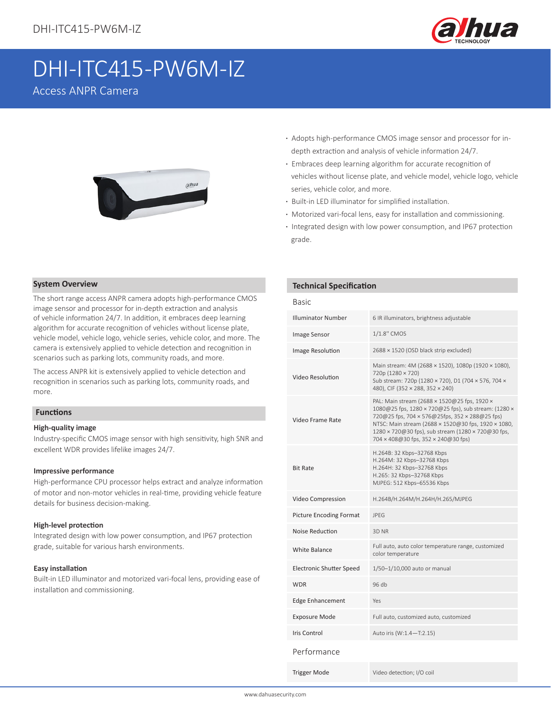

# DHI-ITC415-PW6M-IZ

Access ANPR Camera



- **·** Adopts high-performance CMOS image sensor and processor for in depth extraction and analysis of vehicle information 24/7.
- **·** Embraces deep learning algorithm for accurate recognition of vehicles without license plate, and vehicle model, vehicle logo, vehicle series, vehicle color, and more.
- **·** Built-in LED illuminator for simplified installation.
- **·** Motorized vari-focal lens, easy for installation and commissioning.
- **·** Integrated design with low power consumption, and IP67 protection grade.

#### **System Overview**

The short range access ANPR camera adopts high-performance CMOS image sensor and processor for in-depth extraction and analysis of vehicle information 24/7. In addition, it embraces deep learning algorithm for accurate recognition of vehicles without license plate, vehicle model, vehicle logo, vehicle series, vehicle color, and more. The camera is extensively applied to vehicle detection and recognition in scenarios such as parking lots, community roads, and more.

The access ANPR kit is extensively applied to vehicle detection and recognition in scenarios such as parking lots, community roads, and more.

#### **Functions**

#### **High-quality image**

Industry-specific CMOS image sensor with high sensitivity, high SNR and excellent WDR provides lifelike images 24/7.

#### **Impressive performance**

High-performance CPU processor helps extract and analyze information of motor and non-motor vehicles in real-time, providing vehicle feature details for business decision-making.

#### **High-level protection**

Integrated design with low power consumption, and IP67 protection grade, suitable for various harsh environments.

#### **Easy installation**

Built-in LED illuminator and motorized vari-focal lens, providing ease of installation and commissioning.

#### **Technical Specification**

| <b>Basic</b>                    |                                                                                                                                                                                                                                                                                                            |  |
|---------------------------------|------------------------------------------------------------------------------------------------------------------------------------------------------------------------------------------------------------------------------------------------------------------------------------------------------------|--|
| <b>Illuminator Number</b>       | 6 IR illuminators, brightness adjustable                                                                                                                                                                                                                                                                   |  |
| Image Sensor                    | 1/1.8" CMOS                                                                                                                                                                                                                                                                                                |  |
| <b>Image Resolution</b>         | 2688 × 1520 (OSD black strip excluded)                                                                                                                                                                                                                                                                     |  |
| Video Resolution                | Main stream: 4M (2688 × 1520), 1080p (1920 × 1080),<br>720p (1280 × 720)<br>Sub stream: 720p (1280 × 720), D1 (704 × 576, 704 ×<br>480), CIF (352 × 288, 352 × 240)                                                                                                                                        |  |
| Video Frame Rate                | PAL: Main stream (2688 × 1520@25 fps, 1920 ×<br>1080@25 fps, 1280 × 720@25 fps), sub stream: (1280 ×<br>720@25 fps, 704 × 576@25fps, 352 × 288@25 fps)<br>NTSC: Main stream (2688 × 1520@30 fps, 1920 × 1080,<br>1280 × 720@30 fps), sub stream (1280 × 720@30 fps,<br>704 × 408@30 fps, 352 × 240@30 fps) |  |
| <b>Bit Rate</b>                 | H.264B: 32 Kbps-32768 Kbps<br>H.264M: 32 Kbps-32768 Kbps<br>H.264H: 32 Kbps-32768 Kbps<br>H.265: 32 Kbps-32768 Kbps<br>MJPEG: 512 Kbps-65536 Kbps                                                                                                                                                          |  |
| Video Compression               | H.264B/H.264M/H.264H/H.265/MJPEG                                                                                                                                                                                                                                                                           |  |
| <b>Picture Encoding Format</b>  | <b>JPFG</b>                                                                                                                                                                                                                                                                                                |  |
| Noise Reduction                 | 3D <sub>NR</sub>                                                                                                                                                                                                                                                                                           |  |
| <b>White Balance</b>            | Full auto, auto color temperature range, customized<br>color temperature                                                                                                                                                                                                                                   |  |
| <b>Electronic Shutter Speed</b> | 1/50-1/10,000 auto or manual                                                                                                                                                                                                                                                                               |  |
| <b>WDR</b>                      | 96 db                                                                                                                                                                                                                                                                                                      |  |
| <b>Edge Enhancement</b>         | Yes                                                                                                                                                                                                                                                                                                        |  |
| <b>Exposure Mode</b>            | Full auto, customized auto, customized                                                                                                                                                                                                                                                                     |  |
| <b>Iris Control</b>             | Auto iris (W:1.4-T:2.15)                                                                                                                                                                                                                                                                                   |  |
| Performance                     |                                                                                                                                                                                                                                                                                                            |  |
| <b>Trigger Mode</b>             | Video detection; I/O coil                                                                                                                                                                                                                                                                                  |  |

www.dahuasecurity.com